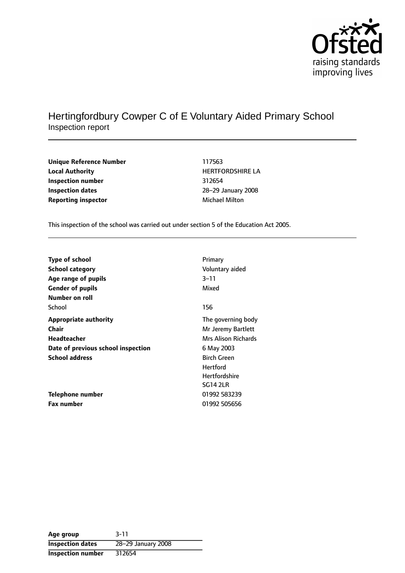

## Hertingfordbury Cowper C of E Voluntary Aided Primary School Inspection report

| <b>Unique Reference Numbe</b> |
|-------------------------------|
| <b>Local Authority</b>        |
| Inspection number             |
| <b>Inspection dates</b>       |
| <b>Reporting inspector</b>    |

**Unique Reference Number** 117563 **Local Authority** HERTFORDSHIRE LA **Inspection number** 312654 **Inspection dates** 2829 January 2008 **Michael Milton** 

This inspection of the school was carried out under section 5 of the Education Act 2005.

| <b>Type of school</b>              | Primary              |
|------------------------------------|----------------------|
| <b>School category</b>             | Voluntary aided      |
| Age range of pupils                | 3–11                 |
| <b>Gender of pupils</b>            | Mixed                |
| Number on roll                     |                      |
| School                             | 156                  |
| <b>Appropriate authority</b>       | The governing body   |
| Chair                              | Mr Jeremy Bartlett   |
| Headteacher                        | Mrs Alison Richards  |
| Date of previous school inspection | 6 May 2003           |
| <b>School address</b>              | <b>Birch Green</b>   |
|                                    | <b>Hertford</b>      |
|                                    | <b>Hertfordshire</b> |
|                                    | <b>SG14 2LR</b>      |
| Telephone number                   | 01992 583239         |
| <b>Fax number</b>                  | 01992 505656         |

| Age group                | $3 - 11$           |
|--------------------------|--------------------|
| <b>Inspection dates</b>  | 28-29 January 2008 |
| <b>Inspection number</b> | 312654             |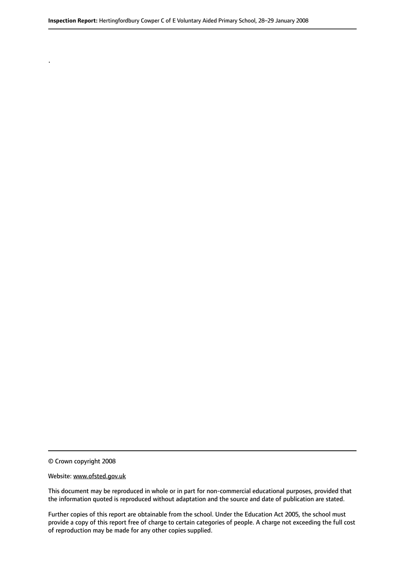© Crown copyright 2008

.

#### Website: www.ofsted.gov.uk

This document may be reproduced in whole or in part for non-commercial educational purposes, provided that the information quoted is reproduced without adaptation and the source and date of publication are stated.

Further copies of this report are obtainable from the school. Under the Education Act 2005, the school must provide a copy of this report free of charge to certain categories of people. A charge not exceeding the full cost of reproduction may be made for any other copies supplied.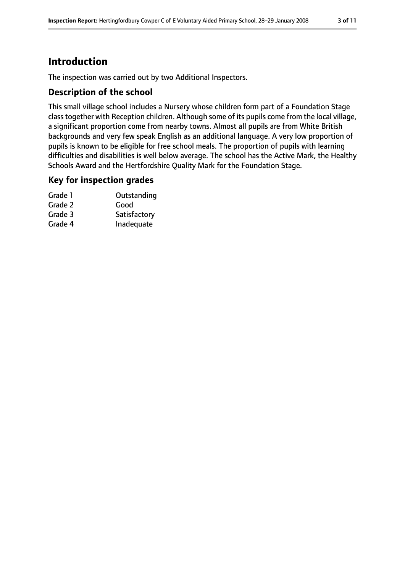## **Introduction**

The inspection was carried out by two Additional Inspectors.

### **Description of the school**

This small village school includes a Nursery whose children form part of a Foundation Stage class together with Reception children. Although some of its pupils come from the local village, a significant proportion come from nearby towns. Almost all pupils are from White British backgrounds and very few speak English as an additional language. A very low proportion of pupils is known to be eligible for free school meals. The proportion of pupils with learning difficulties and disabilities is well below average. The school has the Active Mark, the Healthy Schools Award and the Hertfordshire Quality Mark for the Foundation Stage.

### **Key for inspection grades**

| Grade 1 | Outstanding  |
|---------|--------------|
| Grade 2 | Good         |
| Grade 3 | Satisfactory |
| Grade 4 | Inadequate   |
|         |              |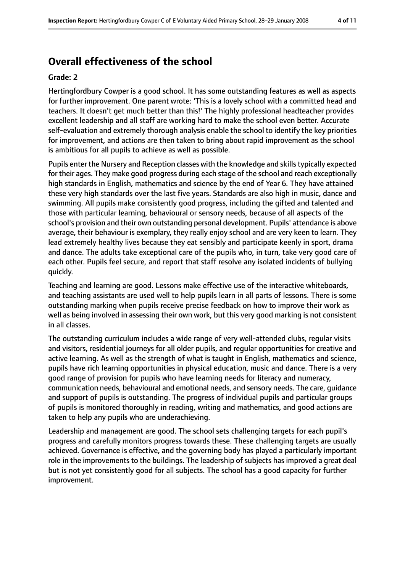## **Overall effectiveness of the school**

#### **Grade: 2**

Hertingfordbury Cowper is a good school. It has some outstanding features as well as aspects for further improvement. One parent wrote: 'This is a lovely school with a committed head and teachers. It doesn't get much better than this!' The highly professional headteacher provides excellent leadership and all staff are working hard to make the school even better. Accurate self-evaluation and extremely thorough analysis enable the school to identify the key priorities for improvement, and actions are then taken to bring about rapid improvement as the school is ambitious for all pupils to achieve as well as possible.

Pupils enter the Nursery and Reception classes with the knowledge and skills typically expected for their ages. They make good progress during each stage of the school and reach exceptionally high standards in English, mathematics and science by the end of Year 6. They have attained these very high standards over the last five years. Standards are also high in music, dance and swimming. All pupils make consistently good progress, including the gifted and talented and those with particular learning, behavioural or sensory needs, because of all aspects of the school's provision and their own outstanding personal development. Pupils' attendance is above average, their behaviour is exemplary, they really enjoy school and are very keen to learn. They lead extremely healthy lives because they eat sensibly and participate keenly in sport, drama and dance. The adults take exceptional care of the pupils who, in turn, take very good care of each other. Pupils feel secure, and report that staff resolve any isolated incidents of bullying quickly.

Teaching and learning are good. Lessons make effective use of the interactive whiteboards, and teaching assistants are used well to help pupils learn in all parts of lessons. There is some outstanding marking when pupils receive precise feedback on how to improve their work as well as being involved in assessing their own work, but this very good marking is not consistent in all classes.

The outstanding curriculum includes a wide range of very well-attended clubs, regular visits and visitors, residential journeys for all older pupils, and regular opportunities for creative and active learning. As well as the strength of what is taught in English, mathematics and science, pupils have rich learning opportunities in physical education, music and dance. There is a very good range of provision for pupils who have learning needs for literacy and numeracy, communication needs, behavioural and emotional needs, and sensory needs. The care, guidance and support of pupils is outstanding. The progress of individual pupils and particular groups of pupils is monitored thoroughly in reading, writing and mathematics, and good actions are taken to help any pupils who are underachieving.

Leadership and management are good. The school sets challenging targets for each pupil's progress and carefully monitors progress towards these. These challenging targets are usually achieved. Governance is effective, and the governing body has played a particularly important role in the improvements to the buildings. The leadership of subjects has improved a great deal but is not yet consistently good for all subjects. The school has a good capacity for further improvement.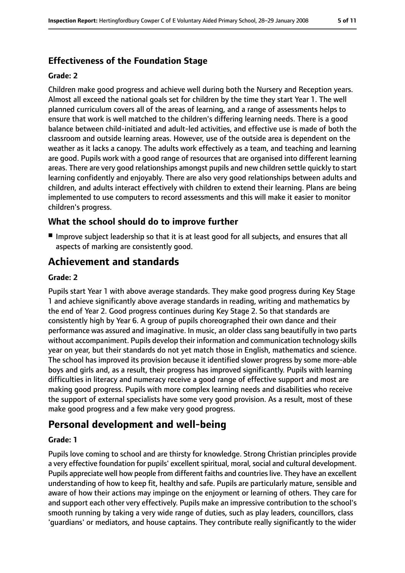## **Effectiveness of the Foundation Stage**

### **Grade: 2**

Children make good progress and achieve well during both the Nursery and Reception years. Almost all exceed the national goals set for children by the time they start Year 1. The well planned curriculum covers all of the areas of learning, and a range of assessments helps to ensure that work is well matched to the children's differing learning needs. There is a good balance between child-initiated and adult-led activities, and effective use is made of both the classroom and outside learning areas. However, use of the outside area is dependent on the weather as it lacks a canopy. The adults work effectively as a team, and teaching and learning are good. Pupils work with a good range of resources that are organised into different learning areas. There are very good relationships amongst pupils and new children settle quickly to start learning confidently and enjoyably. There are also very good relationships between adults and children, and adults interact effectively with children to extend their learning. Plans are being implemented to use computers to record assessments and this will make it easier to monitor children's progress.

### **What the school should do to improve further**

■ Improve subject leadership so that it is at least good for all subjects, and ensures that all aspects of marking are consistently good.

## **Achievement and standards**

#### **Grade: 2**

Pupils start Year 1 with above average standards. They make good progress during Key Stage 1 and achieve significantly above average standards in reading, writing and mathematics by the end of Year 2. Good progress continues during Key Stage 2. So that standards are consistently high by Year 6. A group of pupils choreographed their own dance and their performance was assured and imaginative. In music, an older class sang beautifully in two parts without accompaniment. Pupils develop their information and communication technology skills year on year, but their standards do not yet match those in English, mathematics and science. The school has improved its provision because it identified slower progress by some more-able boys and girls and, as a result, their progress has improved significantly. Pupils with learning difficulties in literacy and numeracy receive a good range of effective support and most are making good progress. Pupils with more complex learning needs and disabilities who receive the support of external specialists have some very good provision. As a result, most of these make good progress and a few make very good progress.

## **Personal development and well-being**

### **Grade: 1**

Pupils love coming to school and are thirsty for knowledge. Strong Christian principles provide a very effective foundation for pupils' excellent spiritual, moral, social and cultural development. Pupils appreciate well how people from different faiths and countries live. They have an excellent understanding of how to keep fit, healthy and safe. Pupils are particularly mature, sensible and aware of how their actions may impinge on the enjoyment or learning of others. They care for and support each other very effectively. Pupils make an impressive contribution to the school's smooth running by taking a very wide range of duties, such as play leaders, councillors, class 'guardians' or mediators, and house captains. They contribute really significantly to the wider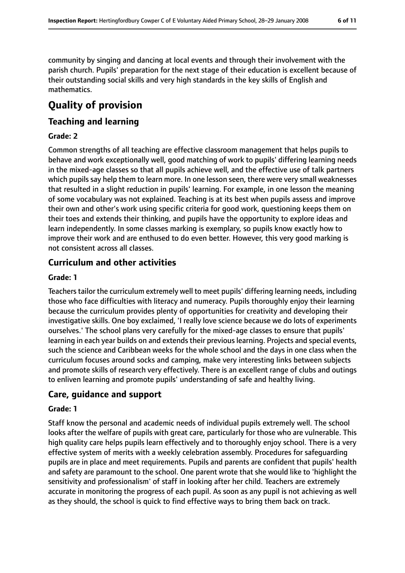community by singing and dancing at local events and through their involvement with the parish church. Pupils' preparation for the next stage of their education is excellent because of their outstanding social skills and very high standards in the key skills of English and mathematics.

# **Quality of provision**

### **Teaching and learning**

### **Grade: 2**

Common strengths of all teaching are effective classroom management that helps pupils to behave and work exceptionally well, good matching of work to pupils' differing learning needs in the mixed-age classes so that all pupils achieve well, and the effective use of talk partners which pupils say help them to learn more. In one lesson seen, there were very small weaknesses that resulted in a slight reduction in pupils' learning. For example, in one lesson the meaning of some vocabulary was not explained. Teaching is at its best when pupils assess and improve their own and other's work using specific criteria for good work, questioning keeps them on their toes and extends their thinking, and pupils have the opportunity to explore ideas and learn independently. In some classes marking is exemplary, so pupils know exactly how to improve their work and are enthused to do even better. However, this very good marking is not consistent across all classes.

### **Curriculum and other activities**

### **Grade: 1**

Teachers tailor the curriculum extremely well to meet pupils' differing learning needs, including those who face difficulties with literacy and numeracy. Pupils thoroughly enjoy their learning because the curriculum provides plenty of opportunities for creativity and developing their investigative skills. One boy exclaimed, 'I really love science because we do lots of experiments ourselves.' The school plans very carefully for the mixed-age classes to ensure that pupils' learning in each year builds on and extends their previous learning. Projects and special events, such the science and Caribbean weeks for the whole school and the days in one class when the curriculum focuses around socks and camping, make very interesting links between subjects and promote skills of research very effectively. There is an excellent range of clubs and outings to enliven learning and promote pupils' understanding of safe and healthy living.

### **Care, guidance and support**

### **Grade: 1**

Staff know the personal and academic needs of individual pupils extremely well. The school looks after the welfare of pupils with great care, particularly for those who are vulnerable. This high quality care helps pupils learn effectively and to thoroughly enjoy school. There is a very effective system of merits with a weekly celebration assembly. Procedures for safeguarding pupils are in place and meet requirements. Pupils and parents are confident that pupils' health and safety are paramount to the school. One parent wrote that she would like to 'highlight the sensitivity and professionalism' of staff in looking after her child. Teachers are extremely accurate in monitoring the progress of each pupil. As soon as any pupil is not achieving as well as they should, the school is quick to find effective ways to bring them back on track.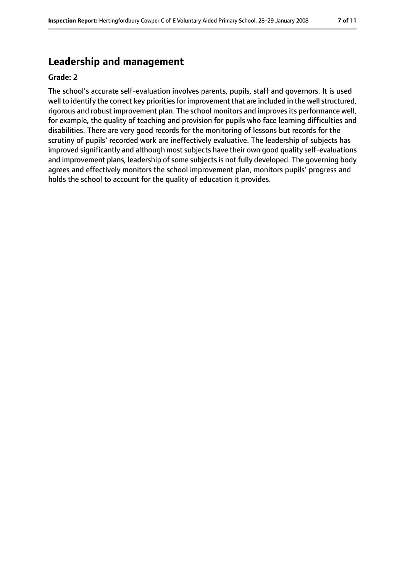## **Leadership and management**

#### **Grade: 2**

The school's accurate self-evaluation involves parents, pupils, staff and governors. It is used well to identify the correct key priorities for improvement that are included in the well structured, rigorous and robust improvement plan. The school monitors and improvesits performance well, for example, the quality of teaching and provision for pupils who face learning difficulties and disabilities. There are very good records for the monitoring of lessons but records for the scrutiny of pupils' recorded work are ineffectively evaluative. The leadership of subjects has improved significantly and although most subjects have their own good quality self-evaluations and improvement plans, leadership of some subjects is not fully developed. The governing body agrees and effectively monitors the school improvement plan, monitors pupils' progress and holds the school to account for the quality of education it provides.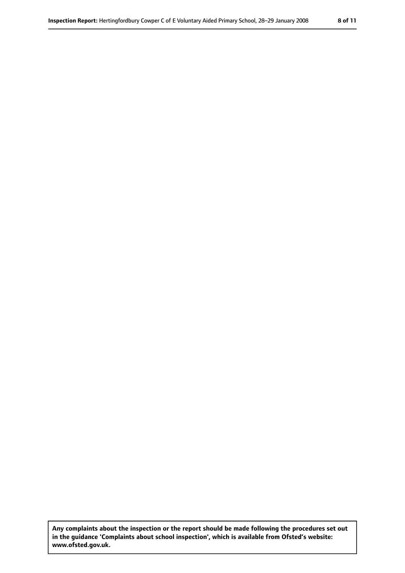**Any complaints about the inspection or the report should be made following the procedures set out in the guidance 'Complaints about school inspection', which is available from Ofsted's website: www.ofsted.gov.uk.**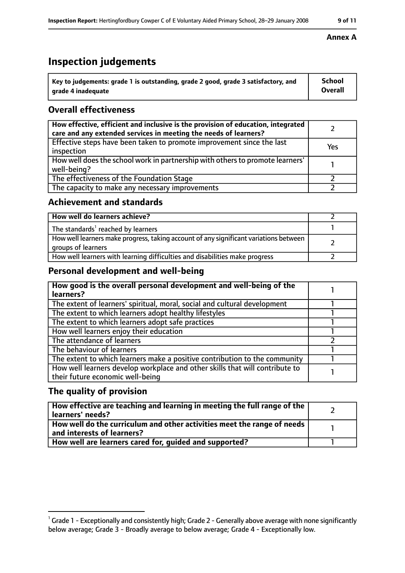# **Inspection judgements**

| Key to judgements: grade 1 is outstanding, grade 2 good, grade 3 satisfactory, and | <b>School</b>  |
|------------------------------------------------------------------------------------|----------------|
| arade 4 inadequate                                                                 | <b>Overall</b> |

## **Overall effectiveness**

| How effective, efficient and inclusive is the provision of education, integrated<br>care and any extended services in meeting the needs of learners? |     |
|------------------------------------------------------------------------------------------------------------------------------------------------------|-----|
| Effective steps have been taken to promote improvement since the last<br>inspection                                                                  | Yes |
| How well does the school work in partnership with others to promote learners'<br>well-being?                                                         |     |
| The effectiveness of the Foundation Stage                                                                                                            |     |
| The capacity to make any necessary improvements                                                                                                      |     |

### **Achievement and standards**

| How well do learners achieve?                                                                               |  |
|-------------------------------------------------------------------------------------------------------------|--|
| The standards <sup>1</sup> reached by learners                                                              |  |
| How well learners make progress, taking account of any significant variations between<br>groups of learners |  |
| How well learners with learning difficulties and disabilities make progress                                 |  |

## **Personal development and well-being**

| How good is the overall personal development and well-being of the<br>learners?                                  |  |
|------------------------------------------------------------------------------------------------------------------|--|
| The extent of learners' spiritual, moral, social and cultural development                                        |  |
| The extent to which learners adopt healthy lifestyles                                                            |  |
| The extent to which learners adopt safe practices                                                                |  |
| How well learners enjoy their education                                                                          |  |
| The attendance of learners                                                                                       |  |
| The behaviour of learners                                                                                        |  |
| The extent to which learners make a positive contribution to the community                                       |  |
| How well learners develop workplace and other skills that will contribute to<br>their future economic well-being |  |

### **The quality of provision**

| How effective are teaching and learning in meeting the full range of the<br>learners' needs?          |  |
|-------------------------------------------------------------------------------------------------------|--|
| How well do the curriculum and other activities meet the range of needs<br>and interests of learners? |  |
| How well are learners cared for, quided and supported?                                                |  |

#### **Annex A**

 $^1$  Grade 1 - Exceptionally and consistently high; Grade 2 - Generally above average with none significantly below average; Grade 3 - Broadly average to below average; Grade 4 - Exceptionally low.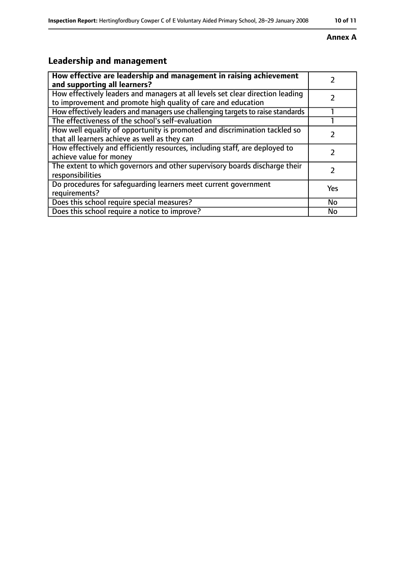### **Annex A**

# **Leadership and management**

| How effective are leadership and management in raising achievement<br>and supporting all learners?                                              |     |
|-------------------------------------------------------------------------------------------------------------------------------------------------|-----|
| How effectively leaders and managers at all levels set clear direction leading<br>to improvement and promote high quality of care and education |     |
| How effectively leaders and managers use challenging targets to raise standards                                                                 |     |
| The effectiveness of the school's self-evaluation                                                                                               |     |
| How well equality of opportunity is promoted and discrimination tackled so<br>that all learners achieve as well as they can                     |     |
| How effectively and efficiently resources, including staff, are deployed to<br>achieve value for money                                          |     |
| The extent to which governors and other supervisory boards discharge their<br>responsibilities                                                  | 7   |
| Do procedures for safequarding learners meet current government<br>requirements?                                                                | Yes |
| Does this school require special measures?                                                                                                      | No  |
| Does this school require a notice to improve?                                                                                                   | No  |